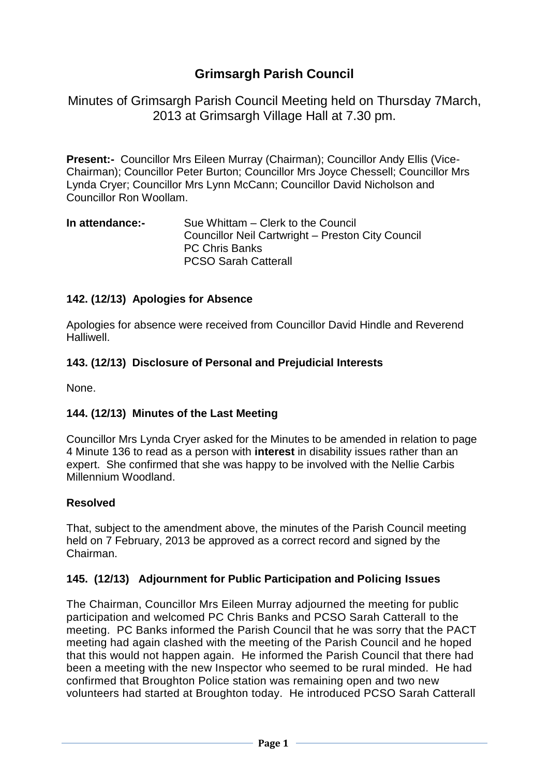# **Grimsargh Parish Council**

Minutes of Grimsargh Parish Council Meeting held on Thursday 7March, 2013 at Grimsargh Village Hall at 7.30 pm.

**Present:-** Councillor Mrs Eileen Murray (Chairman); Councillor Andy Ellis (Vice-Chairman); Councillor Peter Burton; Councillor Mrs Joyce Chessell; Councillor Mrs Lynda Cryer; Councillor Mrs Lynn McCann; Councillor David Nicholson and Councillor Ron Woollam.

#### **In attendance:-** Sue Whittam – Clerk to the Council Councillor Neil Cartwright – Preston City Council PC Chris Banks PCSO Sarah Catterall

# **142. (12/13) Apologies for Absence**

Apologies for absence were received from Councillor David Hindle and Reverend Halliwell.

#### **143. (12/13) Disclosure of Personal and Prejudicial Interests**

None.

#### **144. (12/13) Minutes of the Last Meeting**

Councillor Mrs Lynda Cryer asked for the Minutes to be amended in relation to page 4 Minute 136 to read as a person with **interest** in disability issues rather than an expert. She confirmed that she was happy to be involved with the Nellie Carbis Millennium Woodland.

#### **Resolved**

That, subject to the amendment above, the minutes of the Parish Council meeting held on 7 February, 2013 be approved as a correct record and signed by the Chairman.

#### **145. (12/13) Adjournment for Public Participation and Policing Issues**

The Chairman, Councillor Mrs Eileen Murray adjourned the meeting for public participation and welcomed PC Chris Banks and PCSO Sarah Catterall to the meeting. PC Banks informed the Parish Council that he was sorry that the PACT meeting had again clashed with the meeting of the Parish Council and he hoped that this would not happen again. He informed the Parish Council that there had been a meeting with the new Inspector who seemed to be rural minded. He had confirmed that Broughton Police station was remaining open and two new volunteers had started at Broughton today. He introduced PCSO Sarah Catterall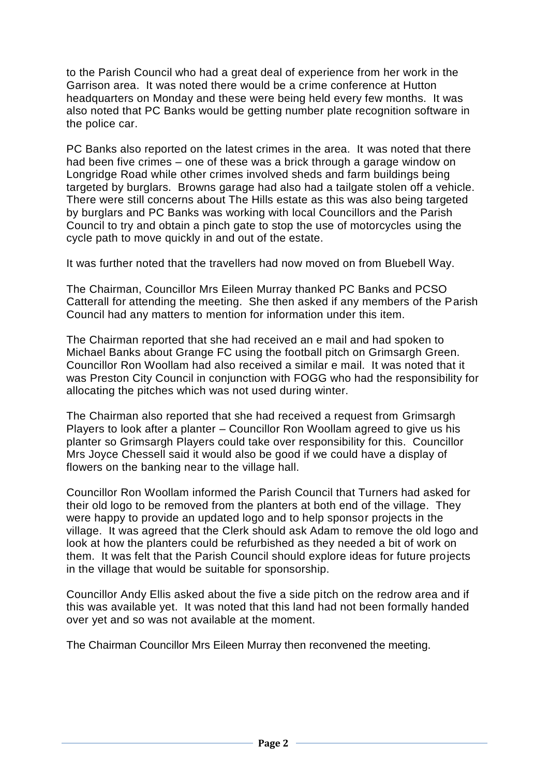to the Parish Council who had a great deal of experience from her work in the Garrison area. It was noted there would be a crime conference at Hutton headquarters on Monday and these were being held every few months. It was also noted that PC Banks would be getting number plate recognition software in the police car.

PC Banks also reported on the latest crimes in the area. It was noted that there had been five crimes – one of these was a brick through a garage window on Longridge Road while other crimes involved sheds and farm buildings being targeted by burglars. Browns garage had also had a tailgate stolen off a vehicle. There were still concerns about The Hills estate as this was also being targeted by burglars and PC Banks was working with local Councillors and the Parish Council to try and obtain a pinch gate to stop the use of motorcycles using the cycle path to move quickly in and out of the estate.

It was further noted that the travellers had now moved on from Bluebell Way.

The Chairman, Councillor Mrs Eileen Murray thanked PC Banks and PCSO Catterall for attending the meeting. She then asked if any members of the Parish Council had any matters to mention for information under this item.

The Chairman reported that she had received an e mail and had spoken to Michael Banks about Grange FC using the football pitch on Grimsargh Green. Councillor Ron Woollam had also received a similar e mail. It was noted that it was Preston City Council in conjunction with FOGG who had the responsibility for allocating the pitches which was not used during winter.

The Chairman also reported that she had received a request from Grimsargh Players to look after a planter – Councillor Ron Woollam agreed to give us his planter so Grimsargh Players could take over responsibility for this. Councillor Mrs Joyce Chessell said it would also be good if we could have a display of flowers on the banking near to the village hall.

Councillor Ron Woollam informed the Parish Council that Turners had asked for their old logo to be removed from the planters at both end of the village. They were happy to provide an updated logo and to help sponsor projects in the village. It was agreed that the Clerk should ask Adam to remove the old logo and look at how the planters could be refurbished as they needed a bit of work on them. It was felt that the Parish Council should explore ideas for future projects in the village that would be suitable for sponsorship.

Councillor Andy Ellis asked about the five a side pitch on the redrow area and if this was available yet. It was noted that this land had not been formally handed over yet and so was not available at the moment.

The Chairman Councillor Mrs Eileen Murray then reconvened the meeting.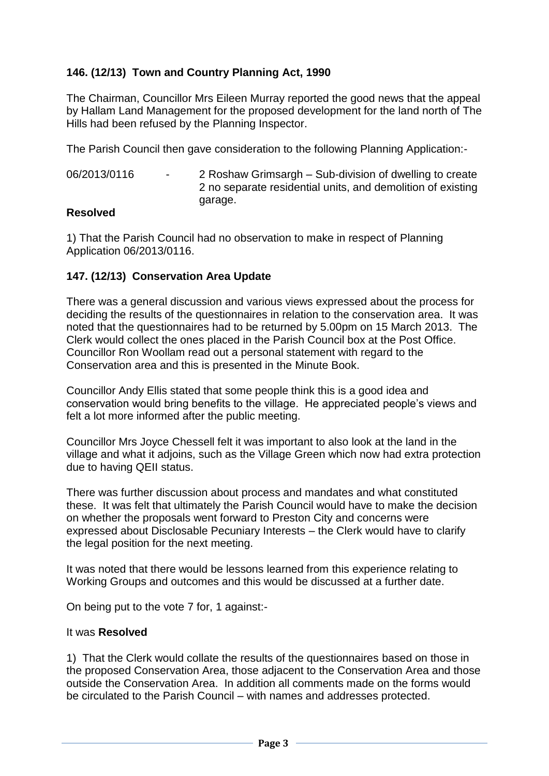# **146. (12/13) Town and Country Planning Act, 1990**

The Chairman, Councillor Mrs Eileen Murray reported the good news that the appeal by Hallam Land Management for the proposed development for the land north of The Hills had been refused by the Planning Inspector.

The Parish Council then gave consideration to the following Planning Application:-

06/2013/0116 - 2 Roshaw Grimsargh – Sub-division of dwelling to create 2 no separate residential units, and demolition of existing garage.

### **Resolved**

1) That the Parish Council had no observation to make in respect of Planning Application 06/2013/0116.

### **147. (12/13) Conservation Area Update**

There was a general discussion and various views expressed about the process for deciding the results of the questionnaires in relation to the conservation area. It was noted that the questionnaires had to be returned by 5.00pm on 15 March 2013. The Clerk would collect the ones placed in the Parish Council box at the Post Office. Councillor Ron Woollam read out a personal statement with regard to the Conservation area and this is presented in the Minute Book.

Councillor Andy Ellis stated that some people think this is a good idea and conservation would bring benefits to the village. He appreciated people's views and felt a lot more informed after the public meeting.

Councillor Mrs Joyce Chessell felt it was important to also look at the land in the village and what it adjoins, such as the Village Green which now had extra protection due to having QEII status.

There was further discussion about process and mandates and what constituted these. It was felt that ultimately the Parish Council would have to make the decision on whether the proposals went forward to Preston City and concerns were expressed about Disclosable Pecuniary Interests – the Clerk would have to clarify the legal position for the next meeting.

It was noted that there would be lessons learned from this experience relating to Working Groups and outcomes and this would be discussed at a further date.

On being put to the vote 7 for, 1 against:-

#### It was **Resolved**

1) That the Clerk would collate the results of the questionnaires based on those in the proposed Conservation Area, those adjacent to the Conservation Area and those outside the Conservation Area. In addition all comments made on the forms would be circulated to the Parish Council – with names and addresses protected.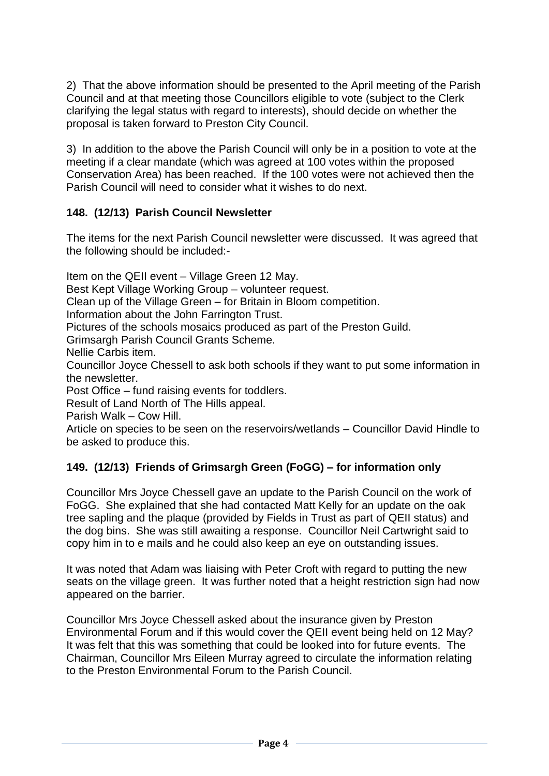2) That the above information should be presented to the April meeting of the Parish Council and at that meeting those Councillors eligible to vote (subject to the Clerk clarifying the legal status with regard to interests), should decide on whether the proposal is taken forward to Preston City Council.

3) In addition to the above the Parish Council will only be in a position to vote at the meeting if a clear mandate (which was agreed at 100 votes within the proposed Conservation Area) has been reached. If the 100 votes were not achieved then the Parish Council will need to consider what it wishes to do next.

# **148. (12/13) Parish Council Newsletter**

The items for the next Parish Council newsletter were discussed. It was agreed that the following should be included:-

Item on the QEII event – Village Green 12 May. Best Kept Village Working Group – volunteer request. Clean up of the Village Green – for Britain in Bloom competition. Information about the John Farrington Trust. Pictures of the schools mosaics produced as part of the Preston Guild. Grimsargh Parish Council Grants Scheme. Nellie Carbis item. Councillor Joyce Chessell to ask both schools if they want to put some information in the newsletter. Post Office – fund raising events for toddlers. Result of Land North of The Hills appeal. Parish Walk – Cow Hill. Article on species to be seen on the reservoirs/wetlands – Councillor David Hindle to be asked to produce this.

# **149. (12/13) Friends of Grimsargh Green (FoGG) – for information only**

Councillor Mrs Joyce Chessell gave an update to the Parish Council on the work of FoGG. She explained that she had contacted Matt Kelly for an update on the oak tree sapling and the plaque (provided by Fields in Trust as part of QEII status) and the dog bins. She was still awaiting a response. Councillor Neil Cartwright said to copy him in to e mails and he could also keep an eye on outstanding issues.

It was noted that Adam was liaising with Peter Croft with regard to putting the new seats on the village green. It was further noted that a height restriction sign had now appeared on the barrier.

Councillor Mrs Joyce Chessell asked about the insurance given by Preston Environmental Forum and if this would cover the QEII event being held on 12 May? It was felt that this was something that could be looked into for future events. The Chairman, Councillor Mrs Eileen Murray agreed to circulate the information relating to the Preston Environmental Forum to the Parish Council.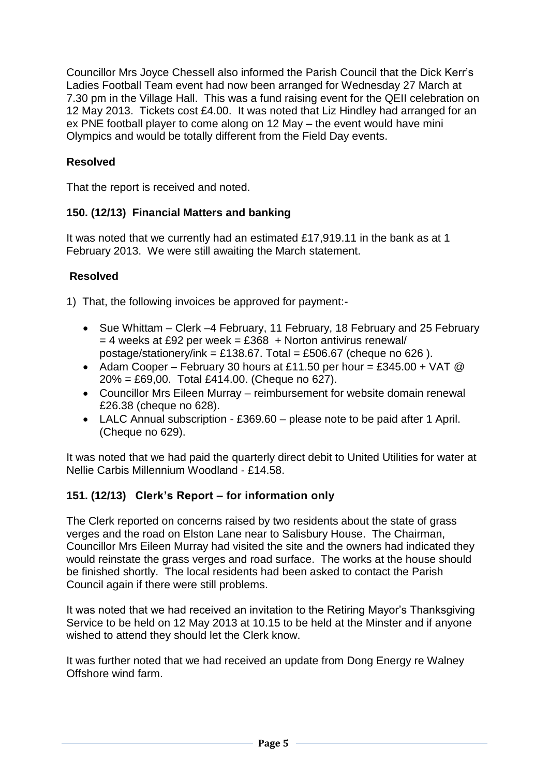Councillor Mrs Joyce Chessell also informed the Parish Council that the Dick Kerr's Ladies Football Team event had now been arranged for Wednesday 27 March at 7.30 pm in the Village Hall. This was a fund raising event for the QEII celebration on 12 May 2013. Tickets cost £4.00. It was noted that Liz Hindley had arranged for an ex PNE football player to come along on 12 May – the event would have mini Olympics and would be totally different from the Field Day events.

# **Resolved**

That the report is received and noted.

# **150. (12/13) Financial Matters and banking**

It was noted that we currently had an estimated £17,919.11 in the bank as at 1 February 2013. We were still awaiting the March statement.

# **Resolved**

1) That, the following invoices be approved for payment:-

- Sue Whittam Clerk –4 February, 11 February, 18 February and 25 February  $= 4$  weeks at £92 per week = £368 + Norton antivirus renewal/ postage/stationery/ink = £138.67. Total = £506.67 (cheque no 626).
- Adam Cooper February 30 hours at £11.50 per hour = £345.00 + VAT  $@$ 20% = £69,00. Total £414.00. (Cheque no 627).
- Councillor Mrs Eileen Murray reimbursement for website domain renewal £26.38 (cheque no 628).
- LALC Annual subscription £369.60 please note to be paid after 1 April. (Cheque no 629).

It was noted that we had paid the quarterly direct debit to United Utilities for water at Nellie Carbis Millennium Woodland - £14.58.

# **151. (12/13) Clerk's Report – for information only**

The Clerk reported on concerns raised by two residents about the state of grass verges and the road on Elston Lane near to Salisbury House. The Chairman, Councillor Mrs Eileen Murray had visited the site and the owners had indicated they would reinstate the grass verges and road surface. The works at the house should be finished shortly. The local residents had been asked to contact the Parish Council again if there were still problems.

It was noted that we had received an invitation to the Retiring Mayor's Thanksgiving Service to be held on 12 May 2013 at 10.15 to be held at the Minster and if anyone wished to attend they should let the Clerk know.

It was further noted that we had received an update from Dong Energy re Walney Offshore wind farm.